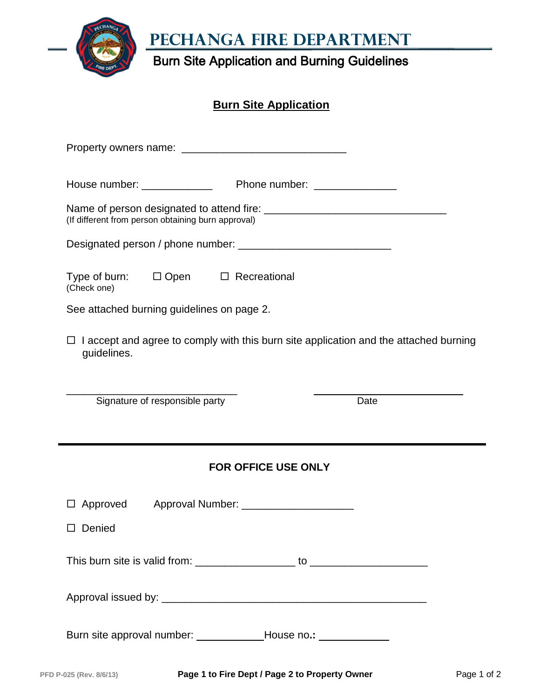**PEChanga Fire Department**

Burn Site Application and Burning Guidelines

## **Burn Site Application**

| (If different from person obtaining burn approval)                                                          |
|-------------------------------------------------------------------------------------------------------------|
|                                                                                                             |
| Type of burn: □ Open □ Recreational<br>(Check one)                                                          |
| See attached burning guidelines on page 2.                                                                  |
| $\Box$ I accept and agree to comply with this burn site application and the attached burning<br>guidelines. |
| Signature of responsible party<br>Date                                                                      |
| <b>FOR OFFICE USE ONLY</b>                                                                                  |
| Approval Number: ______________________<br>$\Box$ Approved<br>□ Denied                                      |
|                                                                                                             |
|                                                                                                             |
| Burn site approval number: _______________House no.: ______________                                         |